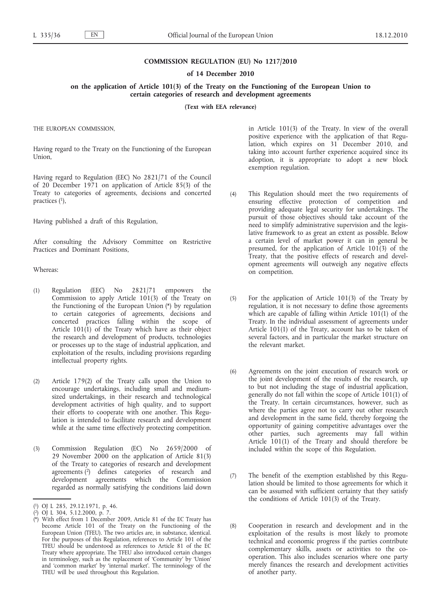## **COMMISSION REGULATION (EU) No 1217/2010**

#### **of 14 December 2010**

## **on the application of Article 101(3) of the Treaty on the Functioning of the European Union to certain categories of research and development agreements**

**(Text with EEA relevance)**

THE EUROPEAN COMMISSION,

Having regard to the Treaty on the Functioning of the European Union,

Having regard to Regulation (EEC) No 2821/71 of the Council of 20 December 1971 on application of Article 85(3) of the Treaty to categories of agreements, decisions and concerted practices  $(1)$ ,

Having published a draft of this Regulation,

After consulting the Advisory Committee on Restrictive Practices and Dominant Positions,

Whereas:

- (1) Regulation (EEC) No 2821/71 empowers the Commission to apply Article 101(3) of the Treaty on the Functioning of the European Union (\*) by regulation to certain categories of agreements, decisions and concerted practices falling within the scope of Article 101(1) of the Treaty which have as their object the research and development of products, technologies or processes up to the stage of industrial application, and exploitation of the results, including provisions regarding intellectual property rights.
- (2) Article 179(2) of the Treaty calls upon the Union to encourage undertakings, including small and mediumsized undertakings, in their research and technological development activities of high quality, and to support their efforts to cooperate with one another. This Regulation is intended to facilitate research and development while at the same time effectively protecting competition.
- (3) Commission Regulation (EC) No 2659/2000 of 29 November 2000 on the application of Article 81(3) of the Treaty to categories of research and development agreements (2) defines categories of research and development agreements which the Commission regarded as normally satisfying the conditions laid down

in Article 101(3) of the Treaty. In view of the overall positive experience with the application of that Regulation, which expires on 31 December 2010, and taking into account further experience acquired since its adoption, it is appropriate to adopt a new block exemption regulation.

- (4) This Regulation should meet the two requirements of ensuring effective protection of competition and providing adequate legal security for undertakings. The pursuit of those objectives should take account of the need to simplify administrative supervision and the legislative framework to as great an extent as possible. Below a certain level of market power it can in general be presumed, for the application of Article 101(3) of the Treaty, that the positive effects of research and development agreements will outweigh any negative effects on competition.
- (5) For the application of Article 101(3) of the Treaty by regulation, it is not necessary to define those agreements which are capable of falling within Article 101(1) of the Treaty. In the individual assessment of agreements under Article 101(1) of the Treaty, account has to be taken of several factors, and in particular the market structure on the relevant market.
- (6) Agreements on the joint execution of research work or the joint development of the results of the research, up to but not including the stage of industrial application, generally do not fall within the scope of Article 101(1) of the Treaty. In certain circumstances, however, such as where the parties agree not to carry out other research and development in the same field, thereby forgoing the opportunity of gaining competitive advantages over the other parties, such agreements may fall within Article 101(1) of the Treaty and should therefore be included within the scope of this Regulation.
- (7) The benefit of the exemption established by this Regulation should be limited to those agreements for which it can be assumed with sufficient certainty that they satisfy the conditions of Article 101(3) of the Treaty.
- (8) Cooperation in research and development and in the exploitation of the results is most likely to promote technical and economic progress if the parties contribute complementary skills, assets or activities to the cooperation. This also includes scenarios where one party merely finances the research and development activities of another party.

<sup>(</sup> 1) OJ L 285, 29.12.1971, p. 46.

<sup>(</sup> 2) OJ L 304, 5.12.2000, p. 7.

<sup>(\*)</sup> With effect from 1 December 2009, Article 81 of the EC Treaty has become Article 101 of the Treaty on the Functioning of the European Union (TFEU). The two articles are, in substance, identical. For the purposes of this Regulation, references to Article 101 of the TFEU should be understood as references to Article 81 of the EC Treaty where appropriate. The TFEU also introduced certain changes in terminology, such as the replacement of 'Community' by 'Union' and 'common market' by 'internal market'. The terminology of the TFEU will be used throughout this Regulation.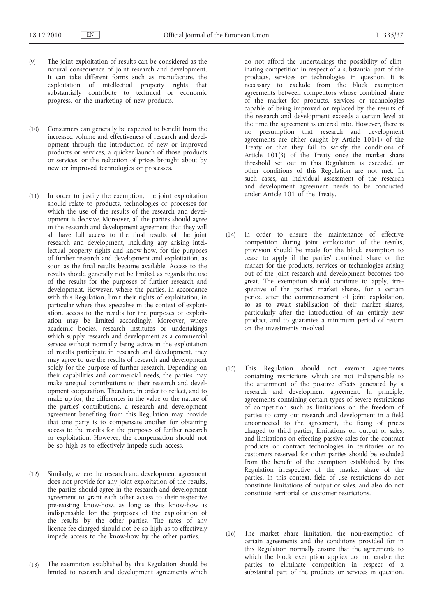- (9) The joint exploitation of results can be considered as the natural consequence of joint research and development. It can take different forms such as manufacture, the exploitation of intellectual property rights that substantially contribute to technical or economic progress, or the marketing of new products.
- (10) Consumers can generally be expected to benefit from the increased volume and effectiveness of research and development through the introduction of new or improved products or services, a quicker launch of those products or services, or the reduction of prices brought about by new or improved technologies or processes.
- (11) In order to justify the exemption, the joint exploitation should relate to products, technologies or processes for which the use of the results of the research and development is decisive. Moreover, all the parties should agree in the research and development agreement that they will all have full access to the final results of the joint research and development, including any arising intellectual property rights and know-how, for the purposes of further research and development and exploitation, as soon as the final results become available. Access to the results should generally not be limited as regards the use of the results for the purposes of further research and development. However, where the parties, in accordance with this Regulation, limit their rights of exploitation, in particular where they specialise in the context of exploitation, access to the results for the purposes of exploitation may be limited accordingly. Moreover, where academic bodies, research institutes or undertakings which supply research and development as a commercial service without normally being active in the exploitation of results participate in research and development, they may agree to use the results of research and development solely for the purpose of further research. Depending on their capabilities and commercial needs, the parties may make unequal contributions to their research and development cooperation. Therefore, in order to reflect, and to make up for, the differences in the value or the nature of the parties' contributions, a research and development agreement benefiting from this Regulation may provide that one party is to compensate another for obtaining access to the results for the purposes of further research or exploitation. However, the compensation should not be so high as to effectively impede such access.
- (12) Similarly, where the research and development agreement does not provide for any joint exploitation of the results, the parties should agree in the research and development agreement to grant each other access to their respective pre-existing know-how, as long as this know-how is indispensable for the purposes of the exploitation of the results by the other parties. The rates of any licence fee charged should not be so high as to effectively impede access to the know-how by the other parties.
- (13) The exemption established by this Regulation should be limited to research and development agreements which

do not afford the undertakings the possibility of eliminating competition in respect of a substantial part of the products, services or technologies in question. It is necessary to exclude from the block exemption agreements between competitors whose combined share of the market for products, services or technologies capable of being improved or replaced by the results of the research and development exceeds a certain level at the time the agreement is entered into. However, there is no presumption that research and development agreements are either caught by Article 101(1) of the Treaty or that they fail to satisfy the conditions of Article 101(3) of the Treaty once the market share threshold set out in this Regulation is exceeded or other conditions of this Regulation are not met. In such cases, an individual assessment of the research and development agreement needs to be conducted under Article 101 of the Treaty.

- (14) In order to ensure the maintenance of effective competition during joint exploitation of the results, provision should be made for the block exemption to cease to apply if the parties' combined share of the market for the products, services or technologies arising out of the joint research and development becomes too great. The exemption should continue to apply, irrespective of the parties' market shares, for a certain period after the commencement of joint exploitation, so as to await stabilisation of their market shares, particularly after the introduction of an entirely new product, and to guarantee a minimum period of return on the investments involved.
- (15) This Regulation should not exempt agreements containing restrictions which are not indispensable to the attainment of the positive effects generated by a research and development agreement. In principle, agreements containing certain types of severe restrictions of competition such as limitations on the freedom of parties to carry out research and development in a field unconnected to the agreement, the fixing of prices charged to third parties, limitations on output or sales, and limitations on effecting passive sales for the contract products or contract technologies in territories or to customers reserved for other parties should be excluded from the benefit of the exemption established by this Regulation irrespective of the market share of the parties. In this context, field of use restrictions do not constitute limitations of output or sales, and also do not constitute territorial or customer restrictions.
- (16) The market share limitation, the non-exemption of certain agreements and the conditions provided for in this Regulation normally ensure that the agreements to which the block exemption applies do not enable the parties to eliminate competition in respect of a substantial part of the products or services in question.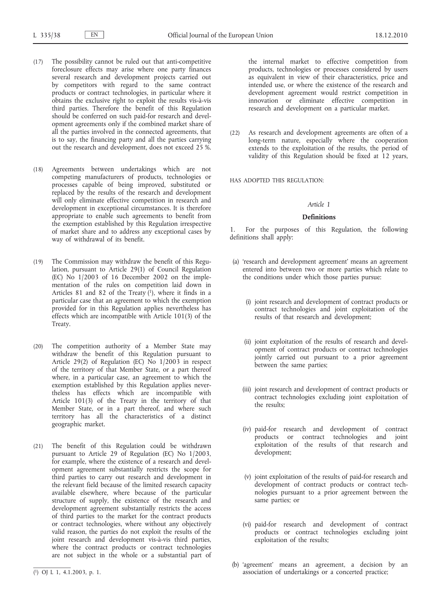- (17) The possibility cannot be ruled out that anti-competitive foreclosure effects may arise where one party finances several research and development projects carried out by competitors with regard to the same contract products or contract technologies, in particular where it obtains the exclusive right to exploit the results vis-à-vis third parties. Therefore the benefit of this Regulation should be conferred on such paid-for research and development agreements only if the combined market share of all the parties involved in the connected agreements, that is to say, the financing party and all the parties carrying out the research and development, does not exceed 25 %.
- (18) Agreements between undertakings which are not competing manufacturers of products, technologies or processes capable of being improved, substituted or replaced by the results of the research and development will only eliminate effective competition in research and development in exceptional circumstances. It is therefore appropriate to enable such agreements to benefit from the exemption established by this Regulation irrespective of market share and to address any exceptional cases by way of withdrawal of its benefit.
- (19) The Commission may withdraw the benefit of this Regulation, pursuant to Article 29(1) of Council Regulation (EC) No 1/2003 of 16 December 2002 on the implementation of the rules on competition laid down in Articles 81 and 82 of the Treaty  $(1)$ , where it finds in a particular case that an agreement to which the exemption provided for in this Regulation applies nevertheless has effects which are incompatible with Article 101(3) of the Treaty.
- (20) The competition authority of a Member State may withdraw the benefit of this Regulation pursuant to Article 29(2) of Regulation (EC) No 1/2003 in respect of the territory of that Member State, or a part thereof where, in a particular case, an agreement to which the exemption established by this Regulation applies nevertheless has effects which are incompatible with Article 101(3) of the Treaty in the territory of that Member State, or in a part thereof, and where such territory has all the characteristics of a distinct geographic market.
- (21) The benefit of this Regulation could be withdrawn pursuant to Article 29 of Regulation (EC) No 1/2003, for example, where the existence of a research and development agreement substantially restricts the scope for third parties to carry out research and development in the relevant field because of the limited research capacity available elsewhere, where because of the particular structure of supply, the existence of the research and development agreement substantially restricts the access of third parties to the market for the contract products or contract technologies, where without any objectively valid reason, the parties do not exploit the results of the joint research and development vis-à-vis third parties, where the contract products or contract technologies are not subject in the whole or a substantial part of

the internal market to effective competition from products, technologies or processes considered by users as equivalent in view of their characteristics, price and intended use, or where the existence of the research and development agreement would restrict competition in innovation or eliminate effective competition in research and development on a particular market.

(22) As research and development agreements are often of a long-term nature, especially where the cooperation extends to the exploitation of the results, the period of validity of this Regulation should be fixed at 12 years,

HAS ADOPTED THIS REGULATION:

# *Article 1*

#### **Definitions**

1. For the purposes of this Regulation, the following definitions shall apply:

- (a) 'research and development agreement' means an agreement entered into between two or more parties which relate to the conditions under which those parties pursue:
	- (i) joint research and development of contract products or contract technologies and joint exploitation of the results of that research and development;
	- (ii) joint exploitation of the results of research and development of contract products or contract technologies jointly carried out pursuant to a prior agreement between the same parties;
	- (iii) joint research and development of contract products or contract technologies excluding joint exploitation of the results;
	- (iv) paid-for research and development of contract products or contract technologies and joint exploitation of the results of that research and development;
	- (v) joint exploitation of the results of paid-for research and development of contract products or contract technologies pursuant to a prior agreement between the same parties; or
	- (vi) paid-for research and development of contract products or contract technologies excluding joint exploitation of the results;
- (b) 'agreement' means an agreement, a decision by an association of undertakings or a concerted practice;

<sup>(</sup> 1) OJ L 1, 4.1.2003, p. 1.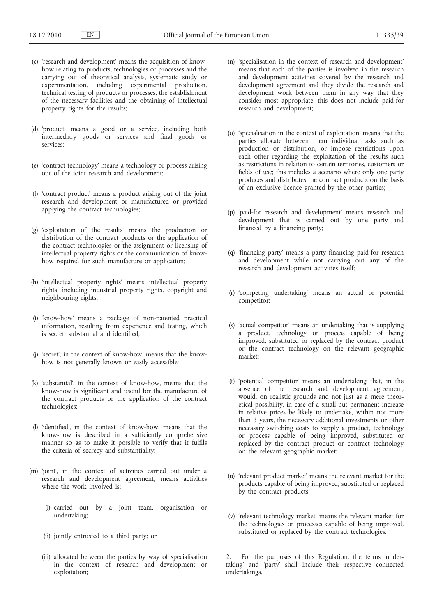- (c) 'research and development' means the acquisition of knowhow relating to products, technologies or processes and the carrying out of theoretical analysis, systematic study or experimentation, including experimental production, technical testing of products or processes, the establishment of the necessary facilities and the obtaining of intellectual property rights for the results;
- (d) 'product' means a good or a service, including both intermediary goods or services and final goods or services;
- (e) 'contract technology' means a technology or process arising out of the joint research and development;
- (f) 'contract product' means a product arising out of the joint research and development or manufactured or provided applying the contract technologies;
- (g) 'exploitation of the results' means the production or distribution of the contract products or the application of the contract technologies or the assignment or licensing of intellectual property rights or the communication of knowhow required for such manufacture or application:
- (h) 'intellectual property rights' means intellectual property rights, including industrial property rights, copyright and neighbouring rights;
- (i) 'know-how' means a package of non-patented practical information, resulting from experience and testing, which is secret, substantial and identified;
- (j) 'secret', in the context of know-how, means that the knowhow is not generally known or easily accessible;
- (k) 'substantial', in the context of know-how, means that the know-how is significant and useful for the manufacture of the contract products or the application of the contract technologies;
- (l) 'identified', in the context of know-how, means that the know-how is described in a sufficiently comprehensive manner so as to make it possible to verify that it fulfils the criteria of secrecy and substantiality;
- (m) 'joint', in the context of activities carried out under a research and development agreement, means activities where the work involved is:
	- (i) carried out by a joint team, organisation or undertaking;
	- (ii) jointly entrusted to a third party; or
	- (iii) allocated between the parties by way of specialisation in the context of research and development or exploitation;
- (n) 'specialisation in the context of research and development' means that each of the parties is involved in the research and development activities covered by the research and development agreement and they divide the research and development work between them in any way that they consider most appropriate; this does not include paid-for research and development;
- (o) 'specialisation in the context of exploitation' means that the parties allocate between them individual tasks such as production or distribution, or impose restrictions upon each other regarding the exploitation of the results such as restrictions in relation to certain territories, customers or fields of use; this includes a scenario where only one party produces and distributes the contract products on the basis of an exclusive licence granted by the other parties;
- (p) 'paid-for research and development' means research and development that is carried out by one party and financed by a financing party;
- (q) 'financing party' means a party financing paid-for research and development while not carrying out any of the research and development activities itself;
- (r) 'competing undertaking' means an actual or potential competitor;
- (s) 'actual competitor' means an undertaking that is supplying a product, technology or process capable of being improved, substituted or replaced by the contract product or the contract technology on the relevant geographic market;
- (t) 'potential competitor' means an undertaking that, in the absence of the research and development agreement, would, on realistic grounds and not just as a mere theoretical possibility, in case of a small but permanent increase in relative prices be likely to undertake, within not more than 3 years, the necessary additional investments or other necessary switching costs to supply a product, technology or process capable of being improved, substituted or replaced by the contract product or contract technology on the relevant geographic market;
- (u) 'relevant product market' means the relevant market for the products capable of being improved, substituted or replaced by the contract products;
- (v) 'relevant technology market' means the relevant market for the technologies or processes capable of being improved, substituted or replaced by the contract technologies.

2. For the purposes of this Regulation, the terms 'undertaking' and 'party' shall include their respective connected undertakings.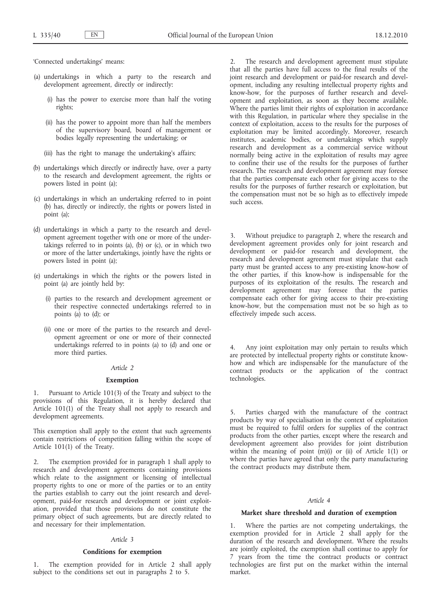'Connected undertakings' means:

- (a) undertakings in which a party to the research and development agreement, directly or indirectly:
	- (i) has the power to exercise more than half the voting rights;
	- (ii) has the power to appoint more than half the members of the supervisory board, board of management or bodies legally representing the undertaking; or
	- (iii) has the right to manage the undertaking's affairs;
- (b) undertakings which directly or indirectly have, over a party to the research and development agreement, the rights or powers listed in point (a);
- (c) undertakings in which an undertaking referred to in point (b) has, directly or indirectly, the rights or powers listed in point (a);
- (d) undertakings in which a party to the research and development agreement together with one or more of the undertakings referred to in points (a), (b) or (c), or in which two or more of the latter undertakings, jointly have the rights or powers listed in point (a);
- (e) undertakings in which the rights or the powers listed in point (a) are jointly held by:
	- (i) parties to the research and development agreement or their respective connected undertakings referred to in points (a) to (d); or
	- (ii) one or more of the parties to the research and development agreement or one or more of their connected undertakings referred to in points (a) to (d) and one or more third parties.

#### *Article 2*

## **Exemption**

1. Pursuant to Article 101(3) of the Treaty and subject to the provisions of this Regulation, it is hereby declared that Article 101(1) of the Treaty shall not apply to research and development agreements.

This exemption shall apply to the extent that such agreements contain restrictions of competition falling within the scope of Article 101(1) of the Treaty.

2. The exemption provided for in paragraph 1 shall apply to research and development agreements containing provisions which relate to the assignment or licensing of intellectual property rights to one or more of the parties or to an entity the parties establish to carry out the joint research and development, paid-for research and development or joint exploitation, provided that those provisions do not constitute the primary object of such agreements, but are directly related to and necessary for their implementation.

#### *Article 3*

### **Conditions for exemption**

The exemption provided for in Article 2 shall apply subject to the conditions set out in paragraphs 2 to 5.

The research and development agreement must stipulate that all the parties have full access to the final results of the joint research and development or paid-for research and development, including any resulting intellectual property rights and know-how, for the purposes of further research and development and exploitation, as soon as they become available. Where the parties limit their rights of exploitation in accordance with this Regulation, in particular where they specialise in the context of exploitation, access to the results for the purposes of exploitation may be limited accordingly. Moreover, research institutes, academic bodies, or undertakings which supply research and development as a commercial service without normally being active in the exploitation of results may agree to confine their use of the results for the purposes of further research. The research and development agreement may foresee that the parties compensate each other for giving access to the results for the purposes of further research or exploitation, but the compensation must not be so high as to effectively impede such access.

Without prejudice to paragraph 2, where the research and development agreement provides only for joint research and development or paid-for research and development, the research and development agreement must stipulate that each party must be granted access to any pre-existing know-how of the other parties, if this know-how is indispensable for the purposes of its exploitation of the results. The research and development agreement may foresee that the parties compensate each other for giving access to their pre-existing know-how, but the compensation must not be so high as to effectively impede such access.

Any joint exploitation may only pertain to results which are protected by intellectual property rights or constitute knowhow and which are indispensable for the manufacture of the contract products or the application of the contract technologies.

Parties charged with the manufacture of the contract products by way of specialisation in the context of exploitation must be required to fulfil orders for supplies of the contract products from the other parties, except where the research and development agreement also provides for joint distribution within the meaning of point (m)(i) or (ii) of Article 1(1) or where the parties have agreed that only the party manufacturing the contract products may distribute them.

#### *Article 4*

### **Market share threshold and duration of exemption**

Where the parties are not competing undertakings, the exemption provided for in Article 2 shall apply for the duration of the research and development. Where the results are jointly exploited, the exemption shall continue to apply for 7 years from the time the contract products or contract technologies are first put on the market within the internal market.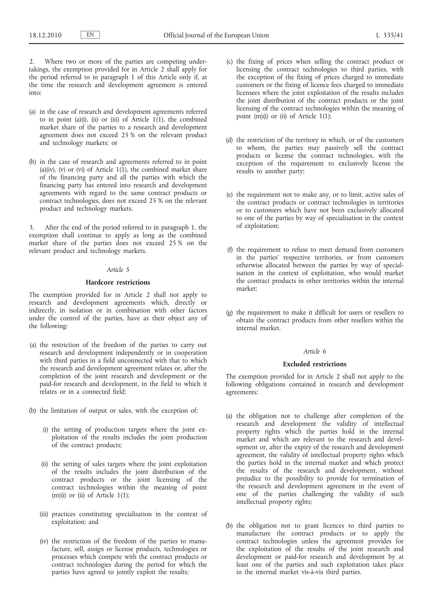Where two or more of the parties are competing undertakings, the exemption provided for in Article 2 shall apply for the period referred to in paragraph 1 of this Article only if, at the time the research and development agreement is entered into:

- (a) in the case of research and development agreements referred to in point (a)(i), (ii) or (iii) of Article  $1(1)$ , the combined market share of the parties to a research and development agreement does not exceed 25 % on the relevant product and technology markets; or
- (b) in the case of research and agreements referred to in point (a)(iv), (v) or (vi) of Article  $1(1)$ , the combined market share of the financing party and all the parties with which the financing party has entered into research and development agreements with regard to the same contract products or contract technologies, does not exceed 25 % on the relevant product and technology markets.

After the end of the period referred to in paragraph 1, the exemption shall continue to apply as long as the combined market share of the parties does not exceed 25 % on the relevant product and technology markets.

### *Article 5*

## **Hardcore restrictions**

The exemption provided for in Article 2 shall not apply to research and development agreements which, directly or indirectly, in isolation or in combination with other factors under the control of the parties, have as their object any of the following:

- (a) the restriction of the freedom of the parties to carry out research and development independently or in cooperation with third parties in a field unconnected with that to which the research and development agreement relates or, after the completion of the joint research and development or the paid-for research and development, in the field to which it relates or in a connected field;
- (b) the limitation of output or sales, with the exception of:
	- (i) the setting of production targets where the joint exploitation of the results includes the joint production of the contract products;
	- (ii) the setting of sales targets where the joint exploitation of the results includes the joint distribution of the contract products or the joint licensing of the contract technologies within the meaning of point  $(m)(i)$  or (ii) of Article 1(1);
	- (iii) practices constituting specialisation in the context of exploitation; and
	- (iv) the restriction of the freedom of the parties to manufacture, sell, assign or license products, technologies or processes which compete with the contract products or contract technologies during the period for which the parties have agreed to jointly exploit the results;
- (c) the fixing of prices when selling the contract product or licensing the contract technologies to third parties, with the exception of the fixing of prices charged to immediate customers or the fixing of licence fees charged to immediate licensees where the joint exploitation of the results includes the joint distribution of the contract products or the joint licensing of the contract technologies within the meaning of point (m)(i) or (ii) of Article 1(1);
- (d) the restriction of the territory in which, or of the customers to whom, the parties may passively sell the contract products or license the contract technologies, with the exception of the requirement to exclusively license the results to another party;
- (e) the requirement not to make any, or to limit, active sales of the contract products or contract technologies in territories or to customers which have not been exclusively allocated to one of the parties by way of specialisation in the context of exploitation;
- (f) the requirement to refuse to meet demand from customers in the parties' respective territories, or from customers otherwise allocated between the parties by way of specialisation in the context of exploitation, who would market the contract products in other territories within the internal market;
- (g) the requirement to make it difficult for users or resellers to obtain the contract products from other resellers within the internal market.

## *Article 6*

## **Excluded restrictions**

The exemption provided for in Article 2 shall not apply to the following obligations contained in research and development agreements:

- (a) the obligation not to challenge after completion of the research and development the validity of intellectual property rights which the parties hold in the internal market and which are relevant to the research and development or, after the expiry of the research and development agreement, the validity of intellectual property rights which the parties hold in the internal market and which protect the results of the research and development, without prejudice to the possibility to provide for termination of the research and development agreement in the event of one of the parties challenging the validity of such intellectual property rights;
- (b) the obligation not to grant licences to third parties to manufacture the contract products or to apply the contract technologies unless the agreement provides for the exploitation of the results of the joint research and development or paid-for research and development by at least one of the parties and such exploitation takes place in the internal market vis-à-vis third parties.